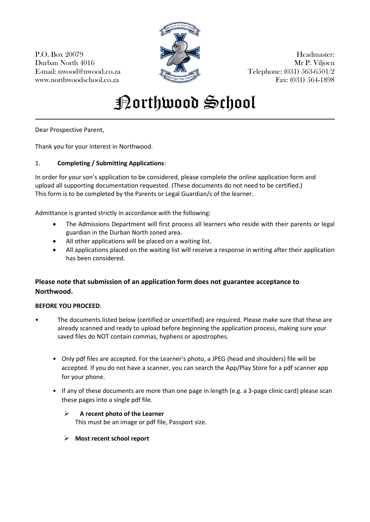P.O. Box 20079 Headmaster: Durban North 4016 Mr P. Viljoen E-mail: nwood@nwood.co.za  $\sum_{n=1}^{\infty}$   $\sum_{n=1}^{\infty}$  Telephone: (031) 563-6501/2 www.northwoodschool.co.za Fax: (031) 564-1898



# **Porthwood School**

Dear Prospective Parent,

Thank you for your interest in Northwood.

## 1. **Completing / Submitting Applications**:

In order for your son's application to be considered, please complete the online application form and upload all supporting documentation requested. (These documents do not need to be certified.) This form is to be completed by the Parents or Legal Guardian/s of the learner.

Admittance is granted strictly in accordance with the following:

- The Admissions Department will first process all learners who reside with their parents or legal guardian in the Durban North zoned area.
- All other applications will be placed on a waiting list.
- All applications placed on the waiting list will receive a response in writing after their application has been considered.

## **Please note that submission of an application form does not guarantee acceptance to Northwood.**

## **BEFORE YOU PROCEED**:

- The documents listed below (certified or uncertified) are required. Please make sure that these are already scanned and ready to upload before beginning the application process, making sure your saved files do NOT contain commas, hyphens or apostrophes.
	- Only pdf files are accepted. For the Learner's photo, a JPEG (head and shoulders) file will be accepted. If you do not have a scanner, you can search the App/Play Store for a pdf scanner app for your phone.
	- If any of these documents are more than one page in length (e.g. a 3-page clinic card) please scan these pages into a single pdf file.

#### **A recent photo of the Learner** This must be an image or pdf file, Passport size.

**Most recent school report**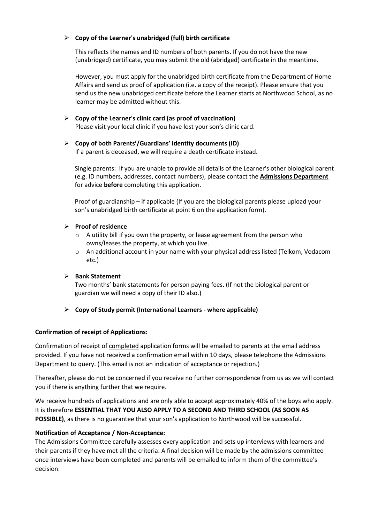#### **Copy of the Learner's unabridged (full) birth certificate**

This reflects the names and ID numbers of both parents. If you do not have the new (unabridged) certificate, you may submit the old (abridged) certificate in the meantime.

However, you must apply for the unabridged birth certificate from the Department of Home Affairs and send us proof of application (i.e. a copy of the receipt). Please ensure that you send us the new unabridged certificate before the Learner starts at Northwood School, as no learner may be admitted without this.

 **Copy of the Learner's clinic card (as proof of vaccination)** Please visit your local clinic if you have lost your son's clinic card.

#### **Copy of both Parents'/Guardians' identity documents (ID)**

If a parent is deceased, we will require a death certificate instead.

Single parents: If you are unable to provide all details of the Learner's other biological parent (e.g. ID numbers, addresses, contact numbers), please contact the **Admissions Department**  for advice **before** completing this application.

Proof of guardianship – if applicable (If you are the biological parents please upload your son's unabridged birth certificate at point 6 on the application form).

#### **Proof of residence**

- $\circ$  A utility bill if you own the property, or lease agreement from the person who owns/leases the property, at which you live.
- o An additional account in your name with your physical address listed (Telkom, Vodacom etc.)

## **Bank Statement**

Two months' bank statements for person paying fees. (If not the biological parent or guardian we will need a copy of their ID also.)

## **Copy of Study permit (International Learners - where applicable)**

## **Confirmation of receipt of Applications:**

Confirmation of receipt of completed application forms will be emailed to parents at the email address provided. If you have not received a confirmation email within 10 days, please telephone the Admissions Department to query. (This email is not an indication of acceptance or rejection.)

Thereafter, please do not be concerned if you receive no further correspondence from us as we will contact you if there is anything further that we require.

We receive hundreds of applications and are only able to accept approximately 40% of the boys who apply. It is therefore **ESSENTIAL THAT YOU ALSO APPLY TO A SECOND AND THIRD SCHOOL (AS SOON AS POSSIBLE)**, as there is no guarantee that your son's application to Northwood will be successful.

## **Notification of Acceptance / Non-Acceptance:**

The Admissions Committee carefully assesses every application and sets up interviews with learners and their parents if they have met all the criteria. A final decision will be made by the admissions committee once interviews have been completed and parents will be emailed to inform them of the committee's decision.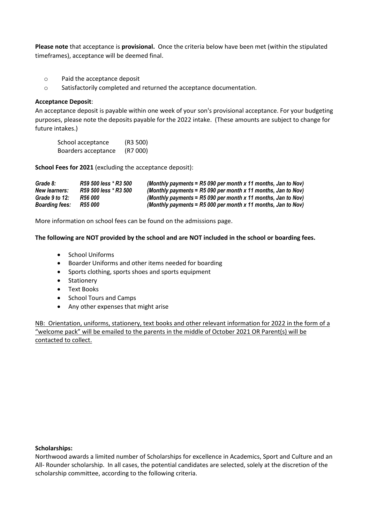**Please note** that acceptance is **provisional.** Once the criteria below have been met (within the stipulated timeframes), acceptance will be deemed final.

- o Paid the acceptance deposit
- o Satisfactorily completed and returned the acceptance documentation.

#### **Acceptance Deposit**:

An acceptance deposit is payable within one week of your son's provisional acceptance. For your budgeting purposes, please note the deposits payable for the 2022 intake. (These amounts are subject to change for future intakes.)

School acceptance (R3 500) Boarders acceptance (R7 000)

**School Fees for 2021** (excluding the acceptance deposit):

| Grade 8:              | R59 500 less * R3 500 | (Monthly payments = $R5090$ per month x 11 months, Jan to Nov) |
|-----------------------|-----------------------|----------------------------------------------------------------|
| <b>New learners:</b>  | R59 500 less * R3 500 | (Monthly payments = $R5090$ per month x 11 months, Jan to Nov) |
| Grade 9 to 12:        | R56 000               | (Monthly payments = $R5090$ per month x 11 months, Jan to Nov) |
| <b>Boarding fees:</b> | R55 000               | (Monthly payments = $R5000$ per month x 11 months, Jan to Nov) |

More information on school fees can be found on the admissions page.

#### **The following are NOT provided by the school and are NOT included in the school or boarding fees.**

- School Uniforms
- Boarder Uniforms and other items needed for boarding
- Sports clothing, sports shoes and sports equipment
- **Stationery**
- **•** Text Books
- School Tours and Camps
- Any other expenses that might arise

NB: Orientation, uniforms, stationery, text books and other relevant information for 2022 in the form of a "welcome pack" will be emailed to the parents in the middle of October 2021 OR Parent(s) will be contacted to collect.

#### **Scholarships:**

Northwood awards a limited number of Scholarships for excellence in Academics, Sport and Culture and an All- Rounder scholarship. In all cases, the potential candidates are selected, solely at the discretion of the scholarship committee, according to the following criteria.